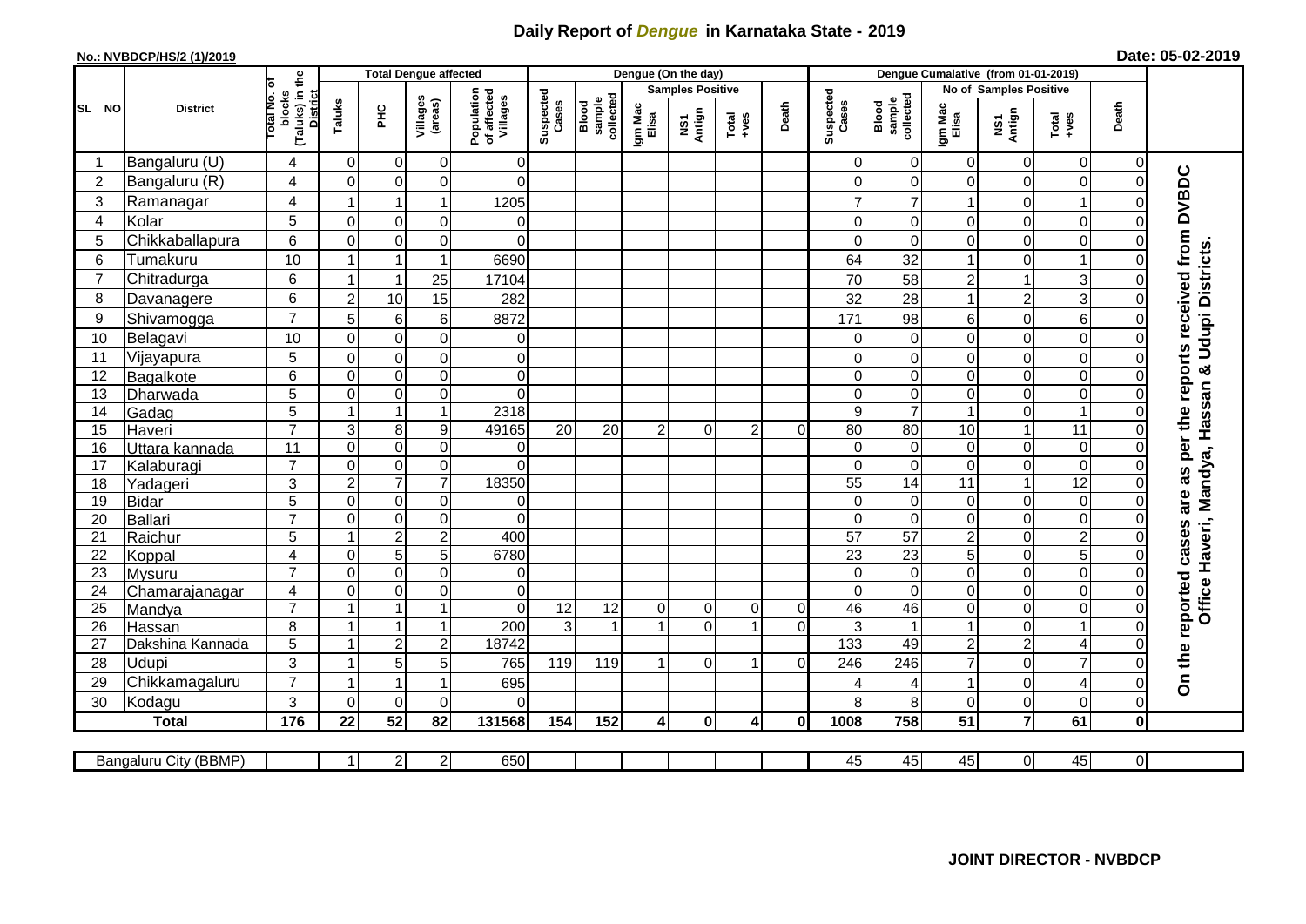## **Daily Report of** *Dengue* **in Karnataka State - 2019**

## **No.: NVBDCP/HS/2 (1)/2019**

|  | Date: 05-02-2019 |  |
|--|------------------|--|
|--|------------------|--|

|                |                       |                                           | <b>Total Dengue affected</b> |                         |                     |                                       |                    |                              |                         | Dengue (On the day) |                                                              |                |                    |                              |                         |                        |                 |                |                                                  |
|----------------|-----------------------|-------------------------------------------|------------------------------|-------------------------|---------------------|---------------------------------------|--------------------|------------------------------|-------------------------|---------------------|--------------------------------------------------------------|----------------|--------------------|------------------------------|-------------------------|------------------------|-----------------|----------------|--------------------------------------------------|
|                | <b>District</b>       |                                           |                              |                         |                     |                                       |                    |                              | <b>Samples Positive</b> |                     |                                                              |                |                    |                              |                         | No of Samples Positive |                 |                |                                                  |
| SL NO          |                       | (Taluks) in the<br>Total No. of<br>blocks | Taluks                       | <b>PHC</b>              | Villages<br>(areas) | Population<br>of affected<br>Villages | Suspected<br>Cases | collected<br>sample<br>Blood | Igm Mac<br>Elisa        | NS1<br>Antign       | $\begin{array}{c}\n\text{Total} \\ \text{Area}\n\end{array}$ | Death          | Suspected<br>Cases | collected<br>Blood<br>sample | Igm Mac<br>Elisa        | NS1<br>Antign          | Total<br>$-ves$ | Death          |                                                  |
|                | Bangaluru (U)         | 4                                         | $\mathbf 0$                  | $\overline{0}$          | 0                   | $\Omega$                              |                    |                              |                         |                     |                                                              |                | 0                  | 0                            | $\overline{0}$          | $\mathbf 0$            | 0               | $\overline{0}$ |                                                  |
| $\overline{2}$ | Bangaluru (R)         | 4                                         | $\Omega$                     | $\Omega$                | $\Omega$            | $\overline{0}$                        |                    |                              |                         |                     |                                                              |                | $\Omega$           | $\mathbf 0$                  | 0                       | $\mathbf 0$            | $\mathbf 0$     | $\Omega$       |                                                  |
| 3              | Ramanagar             | 4                                         |                              | 1                       | 1                   | 1205                                  |                    |                              |                         |                     |                                                              |                | 7                  | $\overline{7}$               | 1                       | $\mathbf 0$            | 1               | ΩI             | as per the reports received from DVBDC           |
| $\overline{4}$ | Kolar                 | 5                                         | $\Omega$                     | $\overline{0}$          | $\mathbf 0$         | 0                                     |                    |                              |                         |                     |                                                              |                | 0                  | 0                            | $\mathbf 0$             | $\mathbf 0$            | 0               | 0              |                                                  |
| 5              | Chikkaballapura       | 6                                         | $\Omega$                     | $\Omega$                | 0                   | 0                                     |                    |                              |                         |                     |                                                              |                | 0                  | $\Omega$                     | $\overline{0}$          | $\mathbf 0$            | 0               | 0              |                                                  |
| 6              | Tumakuru              | 10                                        |                              | -1                      | 1                   | 6690                                  |                    |                              |                         |                     |                                                              |                | 64                 | 32                           | $\mathbf{1}$            | $\mathbf 0$            | 1               |                |                                                  |
| $\overline{7}$ | Chitradurga           | 6                                         | -1                           | $\overline{\mathbf{1}}$ | 25                  | 17104                                 |                    |                              |                         |                     |                                                              |                | 70                 | 58                           | $\overline{2}$          |                        | 3               |                |                                                  |
| 8              | Davanagere            | 6                                         | $\overline{2}$               | 10                      | 15                  | 282                                   |                    |                              |                         |                     |                                                              |                | 32                 | 28                           | $\mathbf{1}$            | $\overline{2}$         | 3               | 0              |                                                  |
| 9              | Shivamogga            | $\overline{7}$                            | 5                            | $6\phantom{1}$          | 6                   | 8872                                  |                    |                              |                         |                     |                                                              |                | 171                | 98                           | 6                       | $\mathbf 0$            | 6               | 01             | Office Haveri, Mandya, Hassan & Udupi Districts. |
| 10             | Belagavi              | 10                                        | 0                            | $\overline{0}$          | $\mathbf 0$         | 0                                     |                    |                              |                         |                     |                                                              |                | 0                  | $\pmb{0}$                    | $\mathbf 0$             | $\mathbf 0$            | $\mathbf 0$     | $\Omega$       |                                                  |
| 11             | Vijayapura            | 5                                         | $\Omega$                     | $\overline{0}$          | $\mathbf 0$         | 0                                     |                    |                              |                         |                     |                                                              |                | 0                  | $\mathbf 0$                  | 0                       | $\mathbf 0$            | $\mathbf 0$     | $\Omega$       |                                                  |
| 12             | Bagalkote             | 6                                         | $\Omega$                     | $\overline{0}$          | $\overline{0}$      | $\mathbf 0$                           |                    |                              |                         |                     |                                                              |                | $\mathbf 0$        | $\mathbf 0$                  | $\overline{\mathsf{o}}$ | $\mathbf 0$            | $\mathbf 0$     | $\Omega$       |                                                  |
| 13             | Dharwada              | 5                                         | $\mathbf 0$                  | $\overline{0}$          | $\mathbf 0$         | $\overline{0}$                        |                    |                              |                         |                     |                                                              |                | 0                  | $\mathbf 0$                  | $\overline{0}$          | 0                      | $\mathbf 0$     | 0              |                                                  |
| 14             | Gadag                 | $\overline{5}$                            | -1                           | $\overline{1}$          | 1                   | 2318                                  |                    |                              |                         |                     |                                                              |                | 9                  | $\overline{7}$               | $\mathbf{1}$            | 0                      | $\mathbf{1}$    | $\Omega$       |                                                  |
| 15             | Haveri                | $\overline{7}$                            | 3                            | $\bf 8$                 | 9                   | 49165                                 | 20                 | 20                           | $\overline{2}$          | $\Omega$            | $\mathcal{P}$                                                | $\Omega$       | 80                 | 80                           | 10                      | $\overline{1}$         | $\overline{11}$ | $\Omega$       |                                                  |
| 16             | Uttara kannada        | $\overline{11}$                           | $\mathbf 0$                  | $\overline{0}$          | $\overline{0}$      | 0                                     |                    |                              |                         |                     |                                                              |                | 0                  | $\mathbf 0$                  | $\mathbf 0$             | $\mathbf 0$            | $\pmb{0}$       | $\Omega$       |                                                  |
| 17             | Kalaburagi            | $\overline{7}$                            | 0                            | $\overline{0}$          | $\pmb{0}$           | 0                                     |                    |                              |                         |                     |                                                              |                | 0                  | $\pmb{0}$                    | $\overline{0}$          | $\mathbf 0$            | $\mathbf 0$     |                |                                                  |
| 18             | Yadageri              | 3                                         | $\overline{c}$               | $\overline{7}$          | $\overline{7}$      | 18350                                 |                    |                              |                         |                     |                                                              |                | 55                 | 14                           | 11                      | $\overline{1}$         | $\overline{12}$ |                |                                                  |
| 19             | <b>Bidar</b>          | 5                                         | $\Omega$                     | $\overline{0}$          | $\mathbf 0$         | 0                                     |                    |                              |                         |                     |                                                              |                | 0                  | $\mathbf 0$                  | 0                       | $\mathbf 0$            | 0               | $\Omega$       | are                                              |
| 20             | Ballari               | $\overline{7}$                            | 0                            | $\overline{0}$          | $\pmb{0}$           | $\mathbf 0$                           |                    |                              |                         |                     |                                                              |                | $\mathbf 0$        | $\overline{\mathsf{o}}$      | $\overline{\mathsf{o}}$ | $\mathbf 0$            | $\overline{0}$  | $\Omega$       |                                                  |
| 21             | Raichur               | 5                                         |                              | $\overline{2}$          | $\overline{2}$      | 400                                   |                    |                              |                         |                     |                                                              |                | $\overline{57}$    | 57                           | $\overline{2}$          | $\mathbf 0$            | $\overline{2}$  | $\Omega$       | reported cases                                   |
| 22             | Koppal                | 4                                         | $\mathbf{0}$                 | 5                       | $\overline{5}$      | 6780                                  |                    |                              |                         |                     |                                                              |                | $\overline{23}$    | 23                           | $\overline{5}$          | $\mathbf 0$            | $\overline{5}$  | $\Omega$       |                                                  |
| 23             | Mysuru                | $\overline{7}$                            | $\mathbf 0$                  | $\overline{0}$          | $\overline{0}$      | $\mathsf 0$                           |                    |                              |                         |                     |                                                              |                | 0                  | $\pmb{0}$                    | O                       | $\mathbf 0$            | $\pmb{0}$       | $\overline{0}$ |                                                  |
| 24             | Chamarajanagar        | 4                                         | 0                            | $\overline{0}$          | 0                   | 0                                     |                    |                              |                         |                     |                                                              |                | 0                  | $\mathbf 0$                  | $\mathbf 0$             | 0                      | $\mathsf 0$     | 0              |                                                  |
| 25             | Mandya                | $\overline{7}$                            |                              | $\overline{1}$          | $\overline{1}$      | $\Omega$                              | 12                 | 12                           | $\overline{0}$          | $\overline{0}$      | $\Omega$                                                     | $\overline{0}$ | 46                 | 46                           | $\overline{0}$          | $\mathbf 0$            | 0               | $\Omega$       |                                                  |
| 26             | Hassan                | 8                                         |                              | $\overline{\mathbf{1}}$ | 1                   | 200                                   | $\mathbf{3}$       | $\overline{1}$               |                         | $\Omega$            |                                                              | $\Omega$       | 3                  | $\mathbf{1}$                 | $\mathbf{1}$            | $\mathbf 0$            | $\overline{1}$  | $\Omega$       |                                                  |
| 27             | Dakshina Kannada      | 5                                         |                              | $\overline{a}$          | $\overline{2}$      | 18742                                 |                    |                              |                         |                     |                                                              |                | 133                | 49                           | $\overline{c}$          | $\overline{c}$         | 4               | $\Omega$       |                                                  |
| 28             | Udupi                 | 3                                         | -1                           | 5                       | 5                   | 765                                   | 119                | 119                          |                         | 0                   | 1                                                            | $\Omega$       | 246                | 246                          | $\overline{7}$          | $\mathbf 0$            | $\overline{7}$  |                | On the                                           |
| 29             | Chikkamagaluru        | $\overline{7}$                            | -1                           | -1                      | 1                   | 695                                   |                    |                              |                         |                     |                                                              |                | 4                  | 4                            | $\mathbf{1}$            | $\mathbf 0$            | 4               | 0              |                                                  |
| 30             | Kodagu                | 3                                         | $\Omega$                     | $\overline{0}$          | $\mathbf 0$         | 0                                     |                    |                              |                         |                     |                                                              |                | 8                  | 8                            | 0                       | $\mathbf 0$            | $\mathbf 0$     | ΟI             |                                                  |
|                | <b>Total</b>          | 176                                       | 22                           | 52                      | 82                  | 131568                                | 154                | 152                          | $\overline{4}$          | $\mathbf 0$         | 4                                                            | $\bf{0}$       | 1008               | 758                          | $\overline{51}$         | $\overline{7}$         | 61              | $\mathbf{0}$   |                                                  |
|                |                       |                                           |                              |                         |                     |                                       |                    |                              |                         |                     |                                                              |                |                    |                              |                         |                        |                 |                |                                                  |
|                | Bangaluru City (BBMP) |                                           | 1                            | 2                       | $\overline{2}$      | 650                                   |                    |                              |                         |                     |                                                              |                | 45                 | 45                           | 45                      | $\overline{0}$         | 45              | $\overline{0}$ |                                                  |